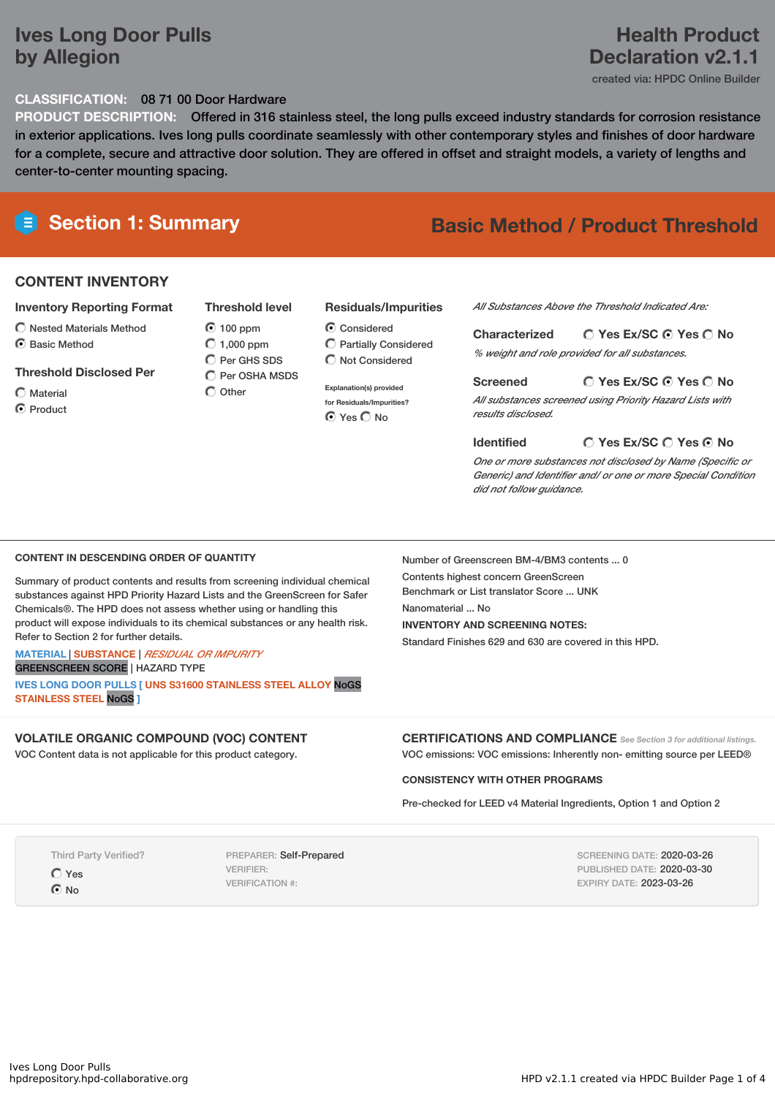# **Ives Long Door Pulls by Allegion**

# **Health Product Declaration v2.1.1**

created via: HPDC Online Builder

#### **CLASSIFICATION:** 08 71 00 Door Hardware

**PRODUCT DESCRIPTION:** Offered in 316 stainless steel, the long pulls exceed industry standards for corrosion resistance in exterior applications. Ives long pulls coordinate seamlessly with other contemporary styles and finishes of door hardware for a complete, secure and attractive door solution. They are offered in offset and straight models, a variety of lengths and center-to-center mounting spacing.

# **Section 1: Summary Basic Method / Product Threshold**

#### **CONTENT INVENTORY**

#### **Inventory Reporting Format**

- $\bigcirc$  Nested Materials Method
- C Basic Method

#### **Threshold Disclosed Per**

Material

**O** Product

100 ppm  $O$  1,000 ppm  $O$  Per GHS SDS

 $\bigcirc$  Other

#### **Residuals/Impurities**

Considered Partially Considered  $\bigcirc$  Not Considered

**Explanation(s) provided for Residuals/Impurities?** ⊙ Yes O No

*All Substances Above the Threshold Indicated Are:*

**Yes Ex/SC Yes No Characterized** *% weight and role provided for all substances.*

#### **Yes Ex/SC Yes No Screened**

*All substances screened using Priority Hazard Lists with results disclosed.*

**Yes Ex/SC Yes No Identified** *One or more substances not disclosed by Name (Specific or Generic) and Identifier and/ or one or more Special Condition did not follow guidance.*

#### **CONTENT IN DESCENDING ORDER OF QUANTITY**

Summary of product contents and results from screening individual chemical substances against HPD Priority Hazard Lists and the GreenScreen for Safer Chemicals®. The HPD does not assess whether using or handling this product will expose individuals to its chemical substances or any health risk. Refer to Section 2 for further details.

#### **MATERIAL** | **SUBSTANCE** | *RESIDUAL OR IMPURITY* GREENSCREEN SCORE | HAZARD TYPE

**IVES LONG DOOR PULLS [ UNS S31600 STAINLESS STEEL ALLOY** NoGS **STAINLESS STEEL** NoGS **]**

#### **VOLATILE ORGANIC COMPOUND (VOC) CONTENT**

VOC Content data is not applicable for this product category.

Number of Greenscreen BM-4/BM3 contents ... 0

Contents highest concern GreenScreen Benchmark or List translator Score ... UNK

Nanomaterial ... No

**INVENTORY AND SCREENING NOTES:**

Standard Finishes 629 and 630 are covered in this HPD.

**CERTIFICATIONS AND COMPLIANCE** *See Section <sup>3</sup> for additional listings.* VOC emissions: VOC emissions: Inherently non- emitting source per LEED®

#### **CONSISTENCY WITH OTHER PROGRAMS**

Pre-checked for LEED v4 Material Ingredients, Option 1 and Option 2

Third Party Verified?

Yes

 $\odot$  No

PREPARER: Self-Prepared VERIFIER: VERIFICATION #:

SCREENING DATE: 2020-03-26 PUBLISHED DATE: 2020-03-30 EXPIRY DATE: 2023-03-26

**Threshold level**

 $\overline{O}$  Per OSHA MSDS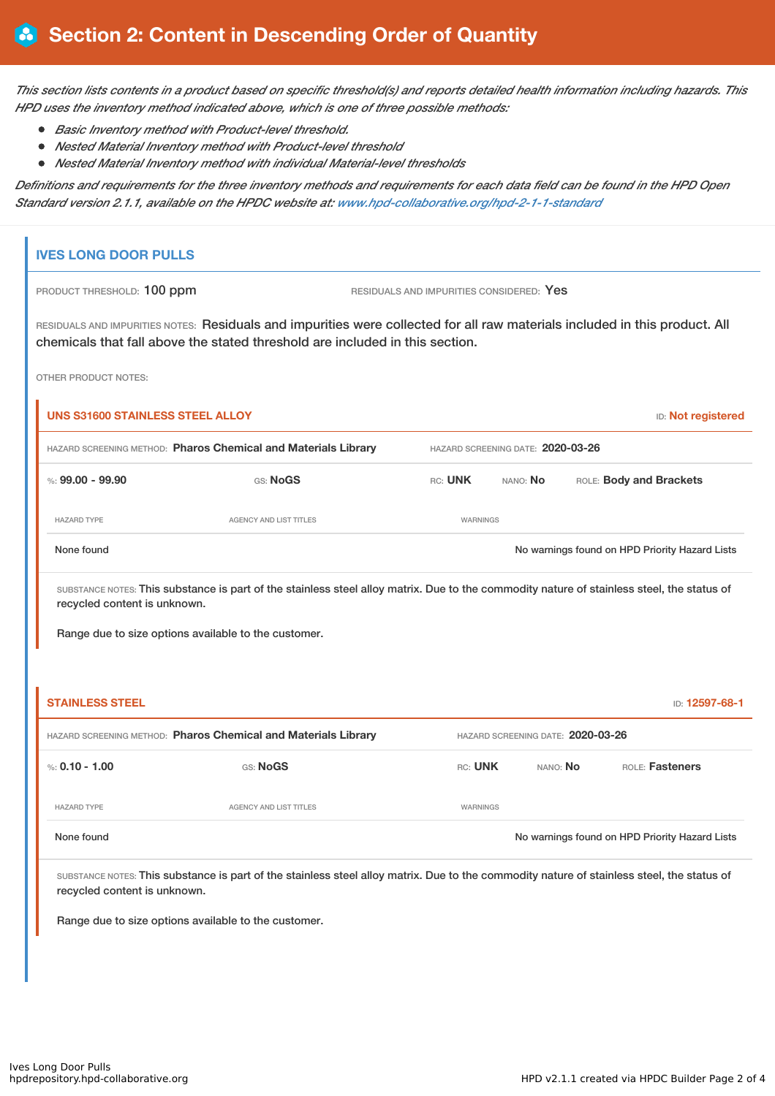This section lists contents in a product based on specific threshold(s) and reports detailed health information including hazards. This *HPD uses the inventory method indicated above, which is one of three possible methods:*

- *Basic Inventory method with Product-level threshold.*
- *Nested Material Inventory method with Product-level threshold*
- $\bullet$ *Nested Material Inventory method with individual Material-level thresholds*

Definitions and requirements for the three inventory methods and requirements for each data field can be found in the HPD Open *Standard version 2.1.1, available on the HPDC website at: [www.hpd-collaborative.org/hpd-2-1-1-standard](https://www.hpd-collaborative.org/hpd-2-1-1-standard)*

### **IVES LONG DOOR PULLS**

PRODUCT THRESHOLD: 100 ppm RESIDUALS AND IMPURITIES CONSIDERED: Yes

RESIDUALS AND IMPURITIES NOTES: Residuals and impurities were collected for all raw materials included in this product. All chemicals that fall above the stated threshold are included in this section.

OTHER PRODUCT NOTES:

| <b>UNS S31600 STAINLESS STEEL ALLOY</b><br><b>ID:</b> Not registered |                        |                                   |                 |                                                |  |  |  |
|----------------------------------------------------------------------|------------------------|-----------------------------------|-----------------|------------------------------------------------|--|--|--|
| HAZARD SCREENING METHOD: Pharos Chemical and Materials Library       |                        | HAZARD SCREENING DATE: 2020-03-26 |                 |                                                |  |  |  |
| %: $99.00 - 99.90$                                                   | GS: NoGS               | RC: UNK                           | NANO: <b>No</b> | ROLE: Body and Brackets                        |  |  |  |
| <b>HAZARD TYPE</b>                                                   | AGENCY AND LIST TITLES | WARNINGS                          |                 |                                                |  |  |  |
| None found                                                           |                        |                                   |                 | No warnings found on HPD Priority Hazard Lists |  |  |  |

SUBSTANCE NOTES: This substance is part of the stainless steel alloy matrix. Due to the commodity nature of stainless steel, the status of recycled content is unknown.

Range due to size options available to the customer.

| <b>STAINLESS STEEL</b><br>ID: 12597-68-1                       |                        |                                   |                 |                                                |  |  |
|----------------------------------------------------------------|------------------------|-----------------------------------|-----------------|------------------------------------------------|--|--|
| HAZARD SCREENING METHOD: Pharos Chemical and Materials Library |                        | HAZARD SCREENING DATE: 2020-03-26 |                 |                                                |  |  |
| %: 0.10 - 1.00                                                 | GS: NoGS               | RC: UNK                           | NANO: <b>No</b> | <b>ROLE: Fasteners</b>                         |  |  |
| <b>HAZARD TYPE</b>                                             | AGENCY AND LIST TITLES | WARNINGS                          |                 |                                                |  |  |
| None found                                                     |                        |                                   |                 | No warnings found on HPD Priority Hazard Lists |  |  |

SUBSTANCE NOTES: This substance is part of the stainless steel alloy matrix. Due to the commodity nature of stainless steel, the status of recycled content is unknown.

Range due to size options available to the customer.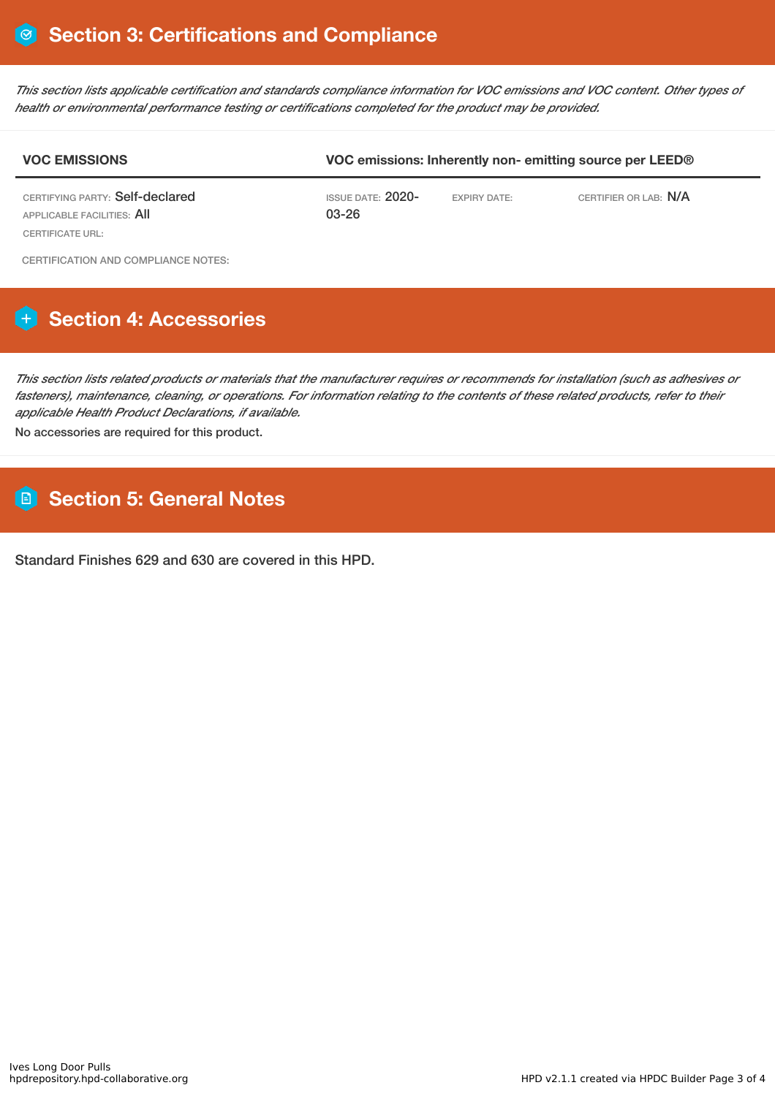This section lists applicable certification and standards compliance information for VOC emissions and VOC content. Other types of *health or environmental performance testing or certifications completed for the product may be provided.*

| <b>VOC EMISSIONS</b>                                                                     | VOC emissions: Inherently non-emitting source per LEED® |                     |                       |  |  |
|------------------------------------------------------------------------------------------|---------------------------------------------------------|---------------------|-----------------------|--|--|
| CERTIFYING PARTY: Self-declared<br>APPLICABLE FACILITIES: All<br><b>CERTIFICATE URL:</b> | ISSUE DATE: 2020-<br>$03 - 26$                          | <b>EXPIRY DATE:</b> | CERTIFIER OR LAB: N/A |  |  |
| CERTIFICATION AND COMPLIANCE NOTES:                                                      |                                                         |                     |                       |  |  |

# **Section 4: Accessories**

This section lists related products or materials that the manufacturer requires or recommends for installation (such as adhesives or fasteners), maintenance, cleaning, or operations. For information relating to the contents of these related products, refer to their *applicable Health Product Declarations, if available.*

No accessories are required for this product.

# **Section 5: General Notes**

Standard Finishes 629 and 630 are covered in this HPD.